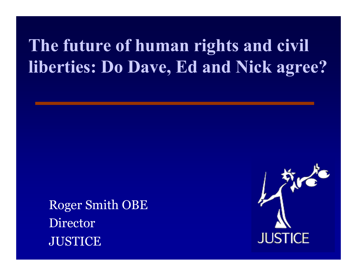## **The future of human rights and civil liberties: Do Dave, Ed and Nick agree?**

Roger Smith OBE Director **JUSTICE** 

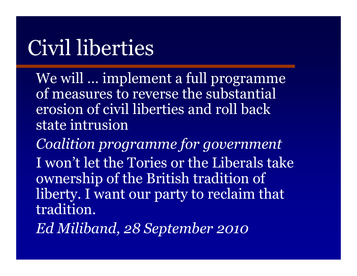## Civil liberties

We will … implement a full programme of measures to reverse the substantial erosion of civil liberties and roll back state intrusion

*Coalition programme for government* I won't let the Tories or the Liberals take ownership of the British tradition of liberty. I want our party to reclaim that tradition.

*Ed Miliband, 28 September 2010*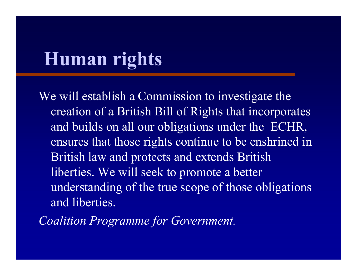## **Human rights**

We will establish a Commission to investigate the creation of a British Bill of Rights that incorporates and builds on all our obligations under the ECHR, ensures that those rights continue to be enshrined in British law and protects and extends British liberties. We will seek to promote a better understanding of the true scope of those obligations and liberties.

*Coalition Programme for Government.*